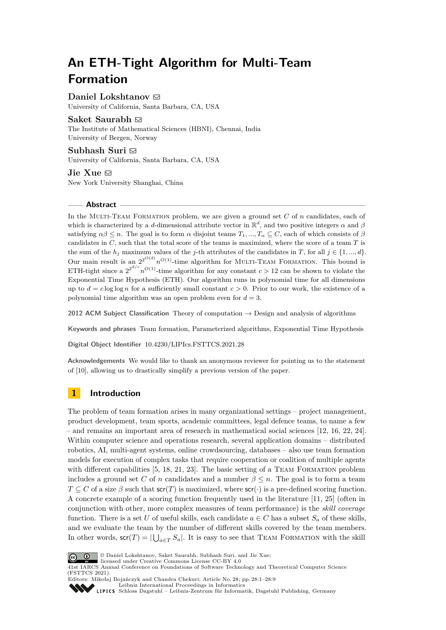# **An ETH-Tight Algorithm for Multi-Team Formation**

**Daniel Lokshtanov** ⊠

University of California, Santa Barbara, CA, USA

## **Saket Saurabh**  $\boxtimes$

The Institute of Mathematical Sciences (HBNI), Chennai, India University of Bergen, Norway

## Subhash Suri  $\boxdot$

University of California, Santa Barbara, CA, USA

 $\mathrm{Jie Xue} \boxtimes$ New York University Shanghai, China

## **Abstract**

In the MULTI-TEAM FORMATION problem, we are given a ground set *C* of *n* candidates, each of which is characterized by a *d*-dimensional attribute vector in  $\mathbb{R}^d$ , and two positive integers  $\alpha$  and  $\beta$ satisfying  $\alpha\beta \leq n$ . The goal is to form  $\alpha$  disjoint teams  $T_1, ..., T_\alpha \subseteq C$ , each of which consists of  $\beta$ candidates in *C*, such that the total score of the teams is maximized, where the score of a team *T* is the sum of the  $h_j$  maximum values of the *j*-th attributes of the candidates in *T*, for all  $j \in \{1, ..., d\}$ . Our main result is an  $2^{O(d)} n^{O(1)}$ -time algorithm for MULTI-TEAM FORMATION. This bound is ETH-tight since a  $2^{2^{d/c}} n^{O(1)}$ -time algorithm for any constant  $c > 12$  can be shown to violate the Exponential Time Hypothesis (ETH). Our algorithm runs in polynomial time for all dimensions up to  $d = c \log \log n$  for a sufficiently small constant  $c > 0$ . Prior to our work, the existence of a polynomial time algorithm was an open problem even for *d* = 3.

**2012 ACM Subject Classification** Theory of computation → Design and analysis of algorithms

**Keywords and phrases** Team formation, Parameterized algorithms, Exponential Time Hypothesis

**Digital Object Identifier** [10.4230/LIPIcs.FSTTCS.2021.28](https://doi.org/10.4230/LIPIcs.FSTTCS.2021.28)

**Acknowledgements** We would like to thank an anonymous reviewer for pointing us to the statement of [\[10\]](#page-7-0), allowing us to drastically simplify a previous version of the paper.

# **1 Introduction**

The problem of team formation arises in many organizational settings – project management, product development, team sports, academic committees, legal defence teams, to name a few – and remains an important area of research in mathematical social sciences [\[12,](#page-7-1) [16,](#page-7-2) [22,](#page-8-0) [24\]](#page-8-1). Within computer science and operations research, several application domains – distributed robotics, AI, multi-agent systems, online crowdsourcing, databases – also use team formation models for execution of complex tasks that require cooperation or coalition of multiple agents with different capabilities [\[5,](#page-7-3) [18,](#page-7-4) [21,](#page-8-2) [23\]](#page-8-3). The basic setting of a TEAM FORMATION problem includes a ground set C of *n* candidates and a number  $\beta \leq n$ . The goal is to form a team  $T \subseteq C$  of a size  $\beta$  such that  $\mathsf{scr}(T)$  is maximized, where  $\mathsf{scr}(\cdot)$  is a pre-defined scoring function. A concrete example of a scoring function frequently used in the literature [\[11,](#page-7-5) [25\]](#page-8-4) (often in conjunction with other, more complex measures of team performance) is the *skill coverage* function. There is a set *U* of useful skills, each candidate  $a \in C$  has a subset  $S_a$  of these skills, and we evaluate the team by the number of different skills covered by the team members. In other words,  $\mathsf{scr}(T) = |\bigcup_{a \in T} S_a|$ . It is easy to see that TEAM FORMATION with the skill



© Daniel Lokshtanov, Saket Saurabh, Subhash Suri, and Jie Xue;

licensed under Creative Commons License CC-BY 4.0 41st IARCS Annual Conference on Foundations of Software Technology and Theoretical Computer Science (FSTTCS 2021). Editors: Mikołaj Bojańczyk and Chandra Chekuri; Article No. 28; pp. 28:1–28:9



[Leibniz International Proceedings in Informatics](https://www.dagstuhl.de/lipics/) [Schloss Dagstuhl – Leibniz-Zentrum für Informatik, Dagstuhl Publishing, Germany](https://www.dagstuhl.de)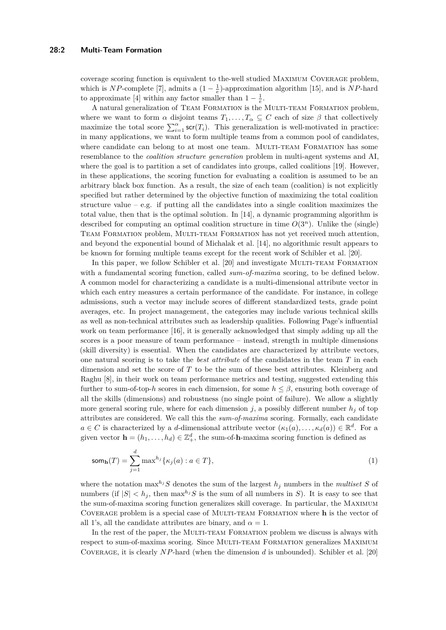coverage scoring function is equivalent to the-well studied Maximum Coverage problem, which is *NP*-complete [\[7\]](#page-7-6), admits a  $(1 - \frac{1}{e})$ -approximation algorithm [\[15\]](#page-7-7), and is *NP*-hard to approximate [\[4\]](#page-7-8) within any factor smaller than  $1 - \frac{1}{e}$ .

A natural generalization of Team Formation is the Multi-team Formation problem, where we want to form  $\alpha$  disjoint teams  $T_1, \ldots, T_\alpha \subseteq C$  each of size  $\beta$  that collectively maximize the total score  $\sum_{i=1}^{\alpha}$  scr(*T<sub>i</sub>*). This generalization is well-motivated in practice: in many applications, we want to form multiple teams from a common pool of candidates, where candidate can belong to at most one team. MULTI-TEAM FORMATION has some resemblance to the *coalition structure generation* problem in multi-agent systems and AI, where the goal is to partition a set of candidates into groups, called coalitions [\[19\]](#page-7-9). However, in these applications, the scoring function for evaluating a coalition is assumed to be an arbitrary black box function. As a result, the size of each team (coalition) is not explicitly specified but rather determined by the objective function of maximizing the total coalition structure value – e.g. if putting all the candidates into a single coalition maximizes the total value, then that is the optimal solution. In [\[14\]](#page-7-10), a dynamic programming algorithm is described for computing an optimal coalition structure in time  $O(3^n)$ . Unlike the (single) Team Formation problem, Multi-team Formation has not yet received much attention, and beyond the exponential bound of Michalak et al. [\[14\]](#page-7-10), no algorithmic result appears to be known for forming multiple teams except for the recent work of Schibler et al. [\[20\]](#page-7-11).

In this paper, we follow Schibler et al. [\[20\]](#page-7-11) and investigate MULTI-TEAM FORMATION with a fundamental scoring function, called *sum-of-maxima* scoring, to be defined below. A common model for characterizing a candidate is a multi-dimensional attribute vector in which each entry measures a certain performance of the candidate. For instance, in college admissions, such a vector may include scores of different standardized tests, grade point averages, etc. In project management, the categories may include various technical skills as well as non-technical attributes such as leadership qualities. Following Page's influential work on team performance [\[16\]](#page-7-2), it is generally acknowledged that simply adding up all the scores is a poor measure of team performance – instead, strength in multiple dimensions (skill diversity) is essential. When the candidates are characterized by attribute vectors, one natural scoring is to take the *best attribute* of the candidates in the team *T* in each dimension and set the score of *T* to be the sum of these best attributes. Kleinberg and Raghu [\[8\]](#page-7-12), in their work on team performance metrics and testing, suggested extending this further to sum-of-top-*h* scores in each dimension, for some  $h \leq \beta$ , ensuring both coverage of all the skills (dimensions) and robustness (no single point of failure). We allow a slightly more general scoring rule, where for each dimension *j*, a possibly different number  $h_j$  of top attributes are considered. We call this the *sum-of-maxima* scoring. Formally, each candidate  $a \in C$  is characterized by a *d*-dimensional attribute vector  $(\kappa_1(a), \ldots, \kappa_d(a)) \in \mathbb{R}^d$ . For a given vector  $\mathbf{h} = (h_1, \ldots, h_d) \in \mathbb{Z}_+^d$ , the sum-of-**h**-maxima scoring function is defined as

<span id="page-1-0"></span>
$$
\operatorname{som}_{\mathbf{h}}(T) = \sum_{j=1}^{d} \max^{h_j} \{ \kappa_j(a) : a \in T \},\tag{1}
$$

where the notation  $\max^{h_j} S$  denotes the sum of the largest  $h_j$  numbers in the *multiset S* of numbers (if  $|S| < h_j$ , then  $\max^{h_j} S$  is the sum of all numbers in *S*). It is easy to see that the sum-of-maxima scoring function generalizes skill coverage. In particular, the Maximum Coverage problem is a special case of Multi-team Formation where **h** is the vector of all 1's, all the candidate attributes are binary, and  $\alpha = 1$ .

In the rest of the paper, the MULTI-TEAM FORMATION problem we discuss is always with respect to sum-of-maxima scoring. Since Multi-team Formation generalizes Maximum Coverage, it is clearly *NP*-hard (when the dimension *d* is unbounded). Schibler et al. [\[20\]](#page-7-11)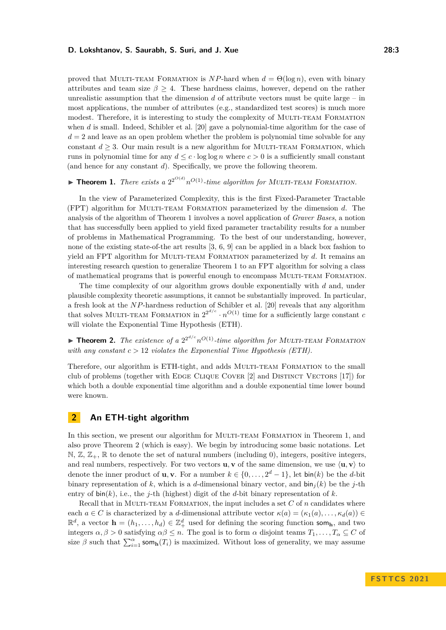proved that MULTI-TEAM FORMATION is  $NP$ -hard when  $d = \Theta(\log n)$ , even with binary attributes and team size  $\beta \geq 4$ . These hardness claims, however, depend on the rather unrealistic assumption that the dimension *d* of attribute vectors must be quite large – in most applications, the number of attributes (e.g., standardized test scores) is much more modest. Therefore, it is interesting to study the complexity of MULTI-TEAM FORMATION when *d* is small. Indeed, Schibler et al. [\[20\]](#page-7-11) gave a polynomial-time algorithm for the case of  $d = 2$  and leave as an open problem whether the problem is polynomial time solvable for any constant  $d > 3$ . Our main result is a new algorithm for MULTI-TEAM FORMATION, which runs in polynomial time for any  $d \leq c \cdot \log \log n$  where  $c > 0$  is a sufficiently small constant (and hence for any constant *d*). Specifically, we prove the following theorem.

# <span id="page-2-0"></span> $\blacktriangleright$  **Theorem 1.** *There exists a*  $2^{2^{O(d)}}n^{O(1)}$ -time algorithm for MULTI-TEAM FORMATION.

In the view of Parameterized Complexity, this is the first Fixed-Parameter Tractable (FPT) algorithm for Multi-team Formation parameterized by the dimension *d*. The analysis of the algorithm of Theorem [1](#page-2-0) involves a novel application of *Graver Bases*, a notion that has successfully been applied to yield fixed parameter tractability results for a number of problems in Mathematical Programming. To the best of our understanding, however, none of the existing state-of-the art results [\[3,](#page-7-13) [6,](#page-7-14) [9\]](#page-7-15) can be applied in a black box fashion to yield an FPT algorithm for MULTI-TEAM FORMATION parameterized by *d*. It remains an interesting research question to generalize Theorem [1](#page-2-0) to an FPT algorithm for solving a class of mathematical programs that is powerful enough to encompass Multi-team Formation.

The time complexity of our algorithm grows double exponentially with *d* and, under plausible complexity theoretic assumptions, it cannot be substantially improved. In particular, a fresh look at the *NP*-hardness reduction of Schibler et al. [\[20\]](#page-7-11) reveals that any algorithm that solves MULTI-TEAM FORMATION in  $2^{2^{d/c}} \cdot n^{O(1)}$  time for a sufficiently large constant *c* will violate the Exponential Time Hypothesis (ETH).

<span id="page-2-1"></span> $\blacktriangleright$  **Theorem 2.** The existence of a  $2^{2^{d/c}}n^{O(1)}$ -time algorithm for MULTI-TEAM FORMATION *with any constant c >* 12 *violates the Exponential Time Hypothesis (ETH).*

Therefore, our algorithm is ETH-tight, and adds MULTI-TEAM FORMATION to the small club of problems (together with Edge Clique Cover [\[2\]](#page-7-16) and Distinct Vectors [\[17\]](#page-7-17)) for which both a double exponential time algorithm and a double exponential time lower bound were known.

## **2 An ETH-tight algorithm**

In this section, we present our algorithm for MULTI-TEAM FORMATION in Theorem [1,](#page-2-0) and also prove Theorem [2](#page-2-1) (which is easy). We begin by introducing some basic notations. Let  $\mathbb{N}, \mathbb{Z}, \mathbb{Z}_+$ ,  $\mathbb{R}$  to denote the set of natural numbers (including 0), integers, positive integers, and real numbers, respectively. For two vectors **u**, **v** of the same dimension, we use  $\langle \mathbf{u}, \mathbf{v} \rangle$  to denote the inner product of **u**, **v**. For a number  $k \in \{0, \ldots, 2^d - 1\}$ , let  $\text{bin}(k)$  be the *d*-bit binary representation of k, which is a d-dimensional binary vector, and  $\sin(i/k)$  be the *j*-th entry of  $\text{bin}(k)$ , i.e., the *j*-th (highest) digit of the *d*-bit binary representation of *k*.

Recall that in MULTI-TEAM FORMATION, the input includes a set *C* of *n* candidates where each  $a \in C$  is characterized by a *d*-dimensional attribute vector  $\kappa(a) = (\kappa_1(a), \ldots, \kappa_d(a)) \in$  $\mathbb{R}^d$ , a vector  $\mathbf{h} = (h_1, \ldots, h_d) \in \mathbb{Z}_+^d$  used for defining the scoring function som<sub>h</sub>, and two integers  $\alpha, \beta > 0$  satisfying  $\alpha\beta \leq n$ . The goal is to form  $\alpha$  disjoint teams  $T_1, \ldots, T_\alpha \subseteq C$  of size  $\beta$  such that  $\sum_{i=1}^{\alpha}$  som<sub>h</sub>( $T_i$ ) is maximized. Without loss of generality, we may assume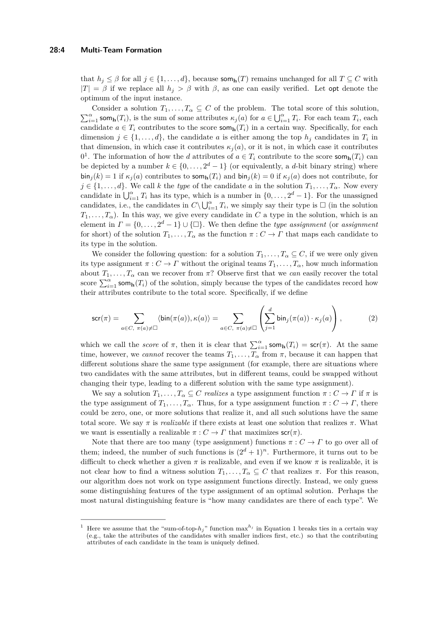that  $h_j \leq \beta$  for all  $j \in \{1, ..., d\}$ , because som<sub>h</sub>(*T*) remains unchanged for all  $T \subseteq C$  with  $|T| = \beta$  if we replace all  $h_j > \beta$  with  $\beta$ , as one can easily verified. Let opt denote the optimum of the input instance.

Consider a solution  $T_1, \ldots, T_\alpha \subseteq C$  of the problem. The total score of this solution,  $\sum_{i=1}^{\alpha}$  som<sub>h</sub>(*T*<sub>*i*</sub>), is the sum of some attributes  $\kappa_j(a)$  for  $a \in \bigcup_{i=1}^{\alpha} T_i$ . For each team  $T_i$ , each candidate  $a \in T_i$  contributes to the score som<sub>h</sub>( $T_i$ ) in a certain way. Specifically, for each dimension  $j \in \{1, \ldots, d\}$ , the candidate *a* is either among the top  $h_j$  candidates in  $T_i$  in that dimension, in which case it contributes  $\kappa_i(a)$ , or it is not, in which case it contributes 0<sup>[1](#page-3-0)</sup>. The information of how the *d* attributes of  $a \in T_i$  contribute to the score som<sub>h</sub>(*T<sub>i</sub>*) can be depicted by a number  $k \in \{0, \ldots, 2^d - 1\}$  (or equivalently, a *d*-bit binary string) where  $\sin_j(k) = 1$  if  $\kappa_j(a)$  contributes to  $\text{som}_h(T_i)$  and  $\sin_j(k) = 0$  if  $\kappa_j(a)$  does not contribute, for  $j \in \{1, \ldots, d\}$ . We call *k* the *type* of the candidate *a* in the solution  $T_1, \ldots, T_\alpha$ . Now every candidate in  $\bigcup_{i=1}^{\alpha} T_i$  has its type, which is a number in  $\{0, \ldots, 2^d - 1\}$ . For the unassigned candidates, i.e., the candidates in  $C \setminus \bigcup_{i=1}^{\alpha} T_i$ , we simply say their type is  $\Box$  (in the solution  $T_1, \ldots, T_\alpha$ ). In this way, we give every candidate in *C* a type in the solution, which is an element in  $\Gamma = \{0, \ldots, 2^d - 1\} \cup \{\Box\}$ . We then define the *type assignment* (or *assignment* for short) of the solution  $T_1, \ldots, T_\alpha$  as the function  $\pi : C \to \Gamma$  that maps each candidate to its type in the solution.

We consider the following question: for a solution  $T_1, \ldots, T_\alpha \subseteq C$ , if we were only given its type assignment  $\pi: C \to \Gamma$  without the original teams  $T_1, \ldots, T_\alpha$ , how much information about  $T_1, \ldots, T_\alpha$  can we recover from  $\pi$ ? Observe first that we *can* easily recover the total score  $\sum_{i=1}^{\alpha}$  som<sub>h</sub>(*T*<sub>*i*</sub>) of the solution, simply because the types of the candidates record how their attributes contribute to the total score. Specifically, if we define

<span id="page-3-1"></span>
$$
\mathsf{scr}(\pi) = \sum_{a \in C, \ \pi(a) \neq \Box} \langle \mathsf{bin}(\pi(a)), \kappa(a) \rangle = \sum_{a \in C, \ \pi(a) \neq \Box} \left( \sum_{j=1}^d \mathsf{bin}_j(\pi(a)) \cdot \kappa_j(a) \right),\tag{2}
$$

which we call the *score* of  $\pi$ , then it is clear that  $\sum_{i=1}^{\alpha}$  som<sub>h</sub>( $T_i$ ) = scr( $\pi$ ). At the same time, however, we *cannot* recover the teams  $T_1, \ldots, T_\alpha$  from  $\pi$ , because it can happen that different solutions share the same type assignment (for example, there are situations where two candidates with the same attributes, but in different teams, could be swapped without changing their type, leading to a different solution with the same type assignment).

We say a solution  $T_1, \ldots, T_\alpha \subseteq C$  *realizes* a type assignment function  $\pi : C \to \Gamma$  if  $\pi$  is the type assignment of  $T_1, \ldots, T_\alpha$ . Thus, for a type assignment function  $\pi : C \to \Gamma$ , there could be zero, one, or more solutions that realize it, and all such solutions have the same total score. We say  $\pi$  is *realizable* if there exists at least one solution that realizes  $\pi$ . What we want is essentially a realizable  $\pi : C \to \Gamma$  that maximizes  $\mathsf{scr}(\pi)$ .

Note that there are too many (type assignment) functions  $\pi: C \to \Gamma$  to go over all of them; indeed, the number of such functions is  $(2^d + 1)^n$ . Furthermore, it turns out to be difficult to check whether a given  $\pi$  is realizable, and even if we know  $\pi$  is realizable, it is not clear how to find a witness solution  $T_1, \ldots, T_\alpha \subseteq C$  that realizes  $\pi$ . For this reason, our algorithm does not work on type assignment functions directly. Instead, we only guess some distinguishing features of the type assignment of an optimal solution. Perhaps the most natural distinguishing feature is "how many candidates are there of each type". We

<span id="page-3-0"></span><sup>&</sup>lt;sup>1</sup> Here we assume that the "sum-of-top- $h_j$ " function max<sup> $h_j$ </sup> in Equation [1](#page-1-0) breaks ties in a certain way (e.g., take the attributes of the candidates with smaller indices first, etc.) so that the contributing attributes of each candidate in the team is uniquely defined.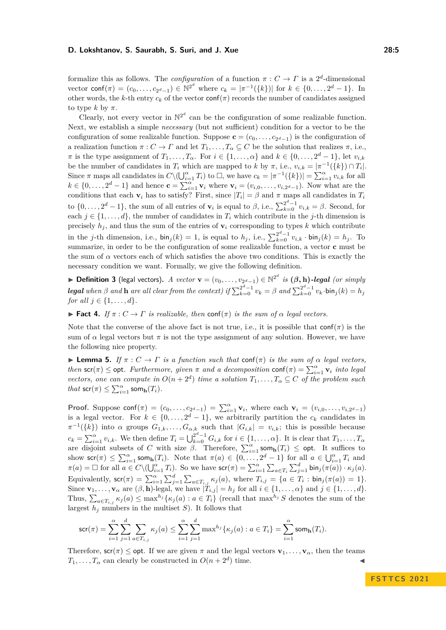formalize this as follows. The *configuration* of a function  $\pi: C \to \Gamma$  is a  $2^d$ -dimensional vector conf $(\pi) = (c_0, \ldots, c_{2^d-1}) \in \mathbb{N}^{2^d}$  where  $c_k = |\pi^{-1}(\{k\})|$  for  $k \in \{0, \ldots, 2^d-1\}$ . In other words, the *k*-th entry  $c_k$  of the vector conf( $\pi$ ) records the number of candidates assigned to type  $k$  by  $\pi$ .

Clearly, not every vector in  $\mathbb{N}^{2^d}$  can be the configuration of some realizable function. Next, we establish a simple *necessary* (but not sufficient) condition for a vector to be the configuration of some realizable function. Suppose  $\mathbf{c} = (c_0, \ldots, c_{2^d-1})$  is the configuration of a realization function  $\pi: C \to \Gamma$  and let  $T_1, \ldots, T_\alpha \subseteq C$  be the solution that realizes  $\pi$ , i.e., *π* is the type assignment of  $T_1, \ldots, T_\alpha$ . For  $i \in \{1, \ldots, \alpha\}$  and  $k \in \{0, \ldots, 2^d - 1\}$ , let  $v_{i,k}$ be the number of candidates in  $T_i$  which are mapped to *k* by  $\pi$ , i.e.,  $v_{i,k} = |\pi^{-1}(\{k\}) \cap T_i|$ . Since  $\pi$  maps all candidates in  $C \setminus (\bigcup_{i=1}^{\alpha} T_i)$  to  $\Box$ , we have  $c_k = |\pi^{-1}(\{k\})| = \sum_{i=1}^{\alpha} v_{i,k}$  for all  $k \in \{0, \ldots, 2^d - 1\}$  and hence  $\mathbf{c} = \sum_{i=1}^{\alpha} \mathbf{v}_i$  where  $\mathbf{v}_i = (v_{i,0}, \ldots, v_{i,2^d-1})$ . Now what are the conditions that each **v**<sub>*i*</sub> has to satisfy? First, since  $|T_i| = \beta$  and  $\pi$  maps all candidates in  $T_i$ to  $\{0, \ldots, 2^d - 1\}$ , the sum of all entries of  $\mathbf{v}_i$  is equal to  $\beta$ , i.e.,  $\sum_{k=0}^{2^d-1} v_{i,k} = \beta$ . Second, for each  $j \in \{1, \ldots, d\}$ , the number of candidates in  $T_i$  which contribute in the *j*-th dimension is precisely  $h_i$ , and thus the sum of the entries of  $\mathbf{v}_i$  corresponding to types k which contribute in the *j*-th dimension, i.e.,  $\sin_j(k) = 1$ , is equal to  $h_j$ , i.e.,  $\sum_{k=0}^{2^d-1} v_{i,k} \cdot \sin_j(k) = h_j$ . To summarize, in order to be the configuration of some realizable function, a vector **c** must be the sum of  $\alpha$  vectors each of which satisfies the above two conditions. This is exactly the necessary condition we want. Formally, we give the following definition.

▶ **Definition 3** (legal vectors). *A vector*  $\mathbf{v} = (v_0, \ldots, v_{2^d-1}) \in \mathbb{N}^{2^d}$  *is*  $(\beta, \mathbf{h})$ *-legal (or simply* **legal** when  $\beta$  and **h** are all clear from the context) if  $\sum_{k=0}^{2^d-1} v_k = \beta$  and  $\sum_{k=0}^{2^d-1} v_k \cdot \text{bin}_j(k) = h_j$ *for all*  $j \in \{1, ..., d\}$ *.* 

<span id="page-4-0"></span>**► Fact 4.** *If*  $\pi$  : *C* → *Γ is realizable, then* conf( $\pi$ ) *is the sum of*  $\alpha$  *legal vectors.* 

Note that the converse of the above fact is not true, i.e., it is possible that  $\text{conf}(\pi)$  is the sum of  $\alpha$  legal vectors but  $\pi$  is not the type assignment of any solution. However, we have the following nice property.

<span id="page-4-1"></span> $\blacktriangleright$  **Lemma 5.** *If*  $\pi$  :  $C \to \Gamma$  *is a function such that* conf( $\pi$ ) *is the sum of*  $\alpha$  *legal vectors, then* scr( $\pi$ )  $\le$  opt. Furthermore, given  $\pi$  and a decomposition conf( $\pi$ ) =  $\sum_{i=1}^{\alpha}$  **v**<sub>*i*</sub> *into legal vectors, one can compute in*  $O(n+2^d)$  *time a solution*  $T_1, \ldots, T_\alpha \subseteq C$  *of the problem such*  $that$  scr $(\pi) \leq \sum_{i=1}^{\alpha}$  som $_{h}(T_{i})$ *.* 

**Proof.** Suppose  $\text{conf}(\pi) = (c_0, \ldots, c_{2^d-1}) = \sum_{i=1}^{\alpha} \mathbf{v}_i$ , where each  $\mathbf{v}_i = (v_{i,0}, \ldots, v_{i,2^d-1})$ is a legal vector. For  $k \in \{0, \ldots, 2^d - 1\}$ , we arbitrarily partition the  $c_k$  candidates in  $\pi^{-1}(\{k\})$  into *α* groups  $G_{1,k}, \ldots, G_{\alpha,k}$  such that  $|G_{i,k}| = v_{i,k}$ ; this is possible because  $c_k = \sum_{i=1}^{\alpha} v_{i,k}$ . We then define  $T_i = \bigcup_{k=0}^{2^d-1} G_{i,k}$  for  $i \in \{1, \ldots, \alpha\}$ . It is clear that  $T_1, \ldots, T_{\alpha}$ are disjoint subsets of *C* with size  $\beta$ . Therefore,  $\sum_{i=1}^{\alpha}$  som<sub>h</sub> $(T_i) \leq$  opt. It suffices to show scr( $\pi$ )  $\leq \sum_{i=1}^{\alpha}$  som<sub>h</sub>( $T_i$ ). Note that  $\pi(a) \in \{0, \ldots, 2^d - 1\}$  for all  $a \in \bigcup_{i=1}^{\alpha} T_i$  and  $\pi(a) = \Box$  for all  $a \in C \setminus (\bigcup_{i=1}^{\alpha} T_i)$ . So we have  $\mathsf{scr}(\pi) = \sum_{i=1}^{\alpha} \sum_{a \in T_i} \sum_{j=1}^d \mathsf{bin}_j(\pi(a)) \cdot \kappa_j(a)$ . Equivalently,  $\text{scr}(\pi) = \sum_{i=1}^{\alpha} \sum_{j=1}^{d} \sum_{a \in T_{i,j}} \kappa_j(a)$ , where  $T_{i,j} = \{a \in T_i : \text{bin}_j(\pi(a)) = 1\}.$ Since  $\mathbf{v}_1, \ldots, \mathbf{v}_\alpha$  are  $(\beta, \mathbf{h})$ -legal, we have  $|T_{i,j}| = h_j$  for all  $i \in \{1, \ldots, \alpha\}$  and  $j \in \{1, \ldots, d\}$ . Thus,  $\sum_{a \in T_{i,j}} \kappa_j(a) \le \max^{h_j} {\kappa_j(a) : a \in T_i}$  (recall that  $\max^{h_j} S$  denotes the sum of the largest  $h_j$  numbers in the multiset  $S$ ). It follows that

$$
\mathsf{scr}(\pi) = \sum_{i=1}^{\alpha} \sum_{j=1}^{d} \sum_{a \in T_{i,j}} \kappa_j(a) \le \sum_{i=1}^{\alpha} \sum_{j=1}^{d} \max^{h_j} \{ \kappa_j(a) : a \in T_i \} = \sum_{i=1}^{\alpha} \mathsf{som}_{\mathbf{h}}(T_i).
$$

Therefore,  $\mathsf{scr}(\pi) \leq \mathsf{opt}$ . If we are given  $\pi$  and the legal vectors  $\mathbf{v}_1, \dots, \mathbf{v}_\alpha$ , then the teams  $T_1, \ldots, T_\alpha$  can clearly be constructed in  $O(n + 2^d)$  time.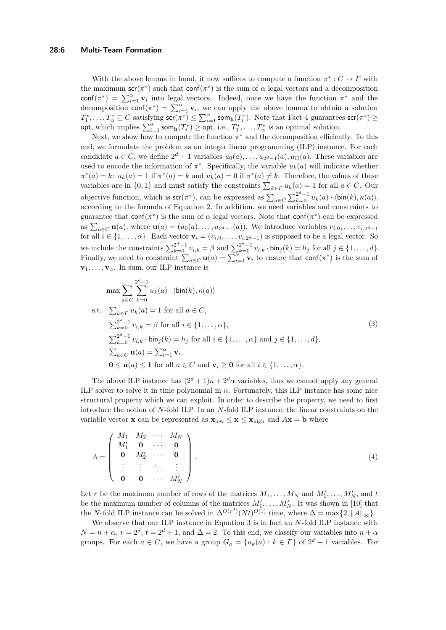#### **28:6 Multi-Team Formation**

With the above lemma in hand, it now suffices to compute a function  $\pi^*: C \to \Gamma$  with the maximum scr( $\pi^*$ ) such that conf( $\pi^*$ ) is the sum of  $\alpha$  legal vectors and a decomposition conf( $\pi^*$ ) =  $\sum_{i=1}^{\alpha}$  **v**<sub>*i*</sub> into legal vectors. Indeed, once we have the function  $\pi^*$  and the decomposition conf $(\pi^*) = \sum_{i=1}^{\alpha} \mathbf{v}_i$ , we can apply the above lemma to obtain a solution  $T_1^*, \ldots, T_\alpha^* \subseteq C$  satisfying  $\mathsf{scr}(\pi^*) \le \sum_{i=1}^\alpha \mathsf{som}_{\mathbf{h}}(T_i^*)$ . Note that Fact [4](#page-4-0) guarantees  $\mathsf{scr}(\pi^*) \ge$ opt, which implies  $\sum_{i=1}^{\alpha}$  som<sub>h</sub> $(T_i^*)$   $\geq$  opt, i.e.,  $T_1^*, \ldots, T_{\alpha}^*$  is an optimal solution.

Next, we show how to compute the function  $\pi^*$  and the decomposition efficiently. To this end, we formulate the problem as an integer linear programming (ILP) instance. For each candidate  $a \in C$ , we define  $2^d + 1$  variables  $u_0(a), \ldots, u_{2^d-1}(a), u_{\Box}(a)$ . These variables are used to encode the information of  $\pi^*$ . Specifically, the variable  $u_k(a)$  will indicate whether  $\pi^*(a) = k$ :  $u_k(a) = 1$  if  $\pi^*(a) = k$  and  $u_k(a) = 0$  if  $\pi^*(a) \neq k$ . Therefore, the values of these variables are in  $\{0, 1\}$  and must satisfy the constraints  $\sum_{k \in \Gamma} u_k(a) = 1$  for all  $a \in C$ . Our objective function, which is  $\mathsf{scr}(\pi^*)$ , can be expressed as  $\sum_{a \in C} \sum_{k=0}^{2^d-1} u_k(a) \cdot \langle \mathsf{bin}(k), \kappa(a) \rangle$ , according to the formula of Equation [2.](#page-3-1) In addition, we need variables and constraints to guarantee that conf( $\pi^*$ ) is the sum of  $\alpha$  legal vectors. Note that conf( $\pi^*$ ) can be expressed as  $\sum_{a \in C} \mathbf{u}(a)$ , where  $\mathbf{u}(a) = (u_0(a), \dots, u_{2^d-1}(a))$ . We introduce variables  $v_{i,0}, \dots, v_{i,2^d-1}$ for all  $i \in \{1, \ldots, \alpha\}$ . Each vector  $\mathbf{v}_i = (v_{i,0}, \ldots, v_{i,2^d-1})$  is supposed to be a legal vector. So we include the constraints  $\sum_{k=0}^{2^d-1} v_{i,k} = \beta$  and  $\sum_{k=0}^{2^d-1} v_{i,k} \cdot \text{bin}_j(k) = h_j$  for all  $j \in \{1, \ldots, d\}$ . Finally, we need to constraint  $\sum_{a \in C} \mathbf{u}(a) = \sum_{i=1}^{\alpha} \mathbf{v}_i$  to ensure that conf( $\pi^*$ ) is the sum of  $\mathbf{v}_1, \ldots, \mathbf{v}_\alpha$ . In sum, our ILP instance is

<span id="page-5-0"></span>
$$
\max \sum_{a \in C} \sum_{k=0}^{2^{d}-1} u_k(a) \cdot \langle \text{bin}(k), \kappa(a) \rangle
$$
  
s.t. 
$$
\sum_{k \in \Gamma} u_k(a) = 1 \text{ for all } a \in C,
$$

$$
\sum_{k=0}^{2^{d}-1} v_{i,k} = \beta \text{ for all } i \in \{1, ..., \alpha\},
$$

$$
\sum_{k=0}^{2^{d}-1} v_{i,k} \cdot \text{bin}_j(k) = h_j \text{ for all } i \in \{1, ..., \alpha\} \text{ and } j \in \{1, ..., d\},
$$

$$
\sum_{a \in C} \mathbf{u}(a) = \sum_{i=1}^{\alpha} \mathbf{v}_i,
$$

$$
\mathbf{0} \leq \mathbf{u}(a) \leq \mathbf{1} \text{ for all } a \in C \text{ and } \mathbf{v}_i \geq \mathbf{0} \text{ for all } i \in \{1, ..., \alpha\}.
$$

$$
(3)
$$

The above ILP instance has  $(2^d + 1)n + 2^d\alpha$  variables, thus we cannot apply any general ILP solver to solve it in time polynomial in *n*. Fortunately, this ILP instance has some nice structural property which we can exploit. In order to describe the property, we need to first introduce the notion of *N*-fold ILP. In an *N*-fold ILP instance, the linear constraints on the variable vector **x** can be represented as  $\mathbf{x}_{\text{low}} \leq \mathbf{x} \leq \mathbf{x}_{\text{high}}$  and  $A\mathbf{x} = \mathbf{b}$  where

<span id="page-5-1"></span>
$$
A = \begin{pmatrix} M_1 & M_2 & \cdots & M_N \\ M'_1 & \mathbf{0} & \cdots & \mathbf{0} \\ \mathbf{0} & M'_2 & \cdots & \mathbf{0} \\ \vdots & \vdots & \ddots & \vdots \\ \mathbf{0} & \mathbf{0} & \cdots & M'_N \end{pmatrix} .
$$
 (4)

Let *r* be the maximum number of rows of the matrices  $M_1, \ldots, M_N$  and  $M'_1, \ldots, M'_N$ , and *t* be the maximum number of columns of the matrices  $M'_1, \ldots, M'_N$ . It was shown in [\[10\]](#page-7-0) that the *N*-fold ILP instance can be solved in  $\Delta^{O(r^3)}(Nt)^{O(1)}$  time, where  $\Delta = \max\{2, ||A||_{\infty}\}.$ 

We observe that our ILP instance in Equation [3](#page-5-0) is in fact an *N*-fold ILP instance with  $N = n + \alpha$ ,  $r = 2^d$ ,  $t = 2^d + 1$ , and  $\Delta = 2$ . To this end, we classify our variables into  $n + \alpha$ groups. For each  $a \in C$ , we have a group  $G_a = \{u_k(a) : k \in \Gamma\}$  of  $2^d + 1$  variables. For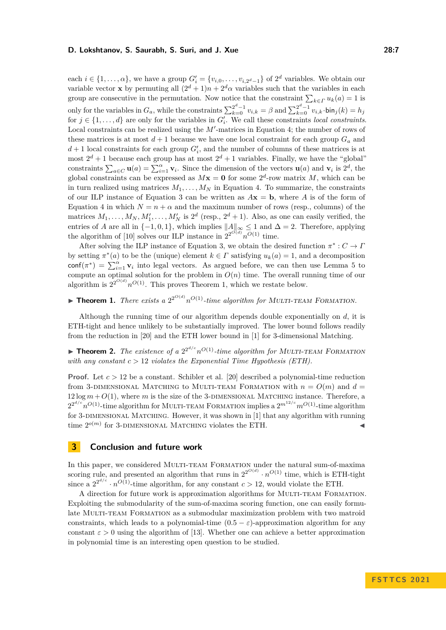each  $i \in \{1, \ldots, \alpha\}$ , we have a group  $G'_{i} = \{v_{i,0}, \ldots, v_{i,2^{d}-1}\}$  of  $2^{d}$  variables. We obtain our variable vector **x** by permuting all  $(2^d + 1)n + 2^d\alpha$  variables such that the variables in each group are consecutive in the permutation. Now notice that the constraint  $\sum_{k \in \Gamma} u_k(a) = 1$  is only for the variables in  $G_a$ , while the constraints  $\sum_{k=0}^{2^d-1} v_{i,k} = \beta$  and  $\sum_{k=0}^{2^d-1} v_{i,k}$  ·bin $j(k) = h_j$ for  $j \in \{1, \ldots, d\}$  are only for the variables in  $G'_{i}$ . We call these constraints *local constraints*. Local constraints can be realized using the  $M'$ -matrices in Equation [4;](#page-5-1) the number of rows of these matrices is at most  $d+1$  because we have one local constraint for each group  $G_a$  and  $d+1$  local constraints for each group  $G'_{i}$ , and the number of columns of these matrices is at most  $2^d + 1$  because each group has at most  $2^d + 1$  variables. Finally, we have the "global" constraints  $\sum_{a \in C} \mathbf{u}(a) = \sum_{i=1}^{\alpha} \mathbf{v}_i$ . Since the dimension of the vectors  $\mathbf{u}(a)$  and  $\mathbf{v}_i$  is  $2^d$ , the global constraints can be expressed as  $M\mathbf{x} = \mathbf{0}$  for some  $2^d$ -row matrix *M*, which can be in turn realized using matrices  $M_1, \ldots, M_N$  in Equation [4.](#page-5-1) To summarize, the constraints of our ILP instance of Equation [3](#page-5-0) can be written as  $A\mathbf{x} = \mathbf{b}$ , where A is of the form of Equation [4](#page-5-1) in which  $N = n + \alpha$  and the maximum number of rows (resp., columns) of the matrices  $M_1, \ldots, M_N, M'_1, \ldots, M'_N$  is  $2^d$  (resp.,  $2^d + 1$ ). Also, as one can easily verified, the entries of *A* are all in  $\{-1,0,1\}$ , which implies  $||A||_{\infty} \leq 1$  and  $\Delta = 2$ . Therefore, applying the algorithm of [\[10\]](#page-7-0) solves our ILP instance in  $2^{2^{O(d)}}n^{O(1)}$  time.

After solving the ILP instance of Equation [3,](#page-5-0) we obtain the desired function  $\pi^*: C \to I$ by setting  $\pi^*(a)$  to be the (unique) element  $k \in \Gamma$  satisfying  $u_k(a) = 1$ , and a decomposition conf $(\pi^*)$  =  $\sum_{i=1}^{\alpha}$  **v**<sub>*i*</sub> into legal vectors. As argued before, we can then use Lemma [5](#page-4-1) to compute an optimal solution for the problem in  $O(n)$  time. The overall running time of our algorithm is  $2^{2^{O(d)}} n^{O(1)}$ . This proves Theorem [1,](#page-2-0) which we restate below.

# $\blacktriangleright$  **Theorem 1.** *There exists a*  $2^{2^{O(d)}}n^{O(1)}$ -time algorithm for MULTI-TEAM FORMATION.

Although the running time of our algorithm depends double exponentially on *d*, it is ETH-tight and hence unlikely to be substantially improved. The lower bound follows readily from the reduction in [\[20\]](#page-7-11) and the ETH lower bound in [\[1\]](#page-7-18) for 3-dimensional Matching.

 $\triangleright$  **Theorem 2.** The existence of a  $2^{2^{d/c}}n^{O(1)}$ -time algorithm for MULTI-TEAM FORMATION *with any constant c >* 12 *violates the Exponential Time Hypothesis (ETH).*

**Proof.** Let *c >* 12 be a constant. Schibler et al. [\[20\]](#page-7-11) described a polynomial-time reduction from 3-DIMENSIONAL MATCHING to MULTI-TEAM FORMATION with  $n = O(m)$  and  $d =$  $12 \log m + O(1)$ , where *m* is the size of the 3-DIMENSIONAL MATCHING instance. Therefore, a  $2^{2^{d/c}} n^{O(1)}$ -time algorithm for MULTI-TEAM FORMATION implies a  $2^{m^{12/c}} m^{O(1)}$ -time algorithm for 3-DIMENSIONAL MATCHING. However, it was shown in  $[1]$  that any algorithm with running  $\sum_{n=1}^{\infty}$  for 3-DIMENSIONAL MATCHING violates the ETH.

# **3 Conclusion and future work**

In this paper, we considered MULTI-TEAM FORMATION under the natural sum-of-maxima scoring rule, and presented an algorithm that runs in  $2^{2^{O(d)}} \cdot n^{O(1)}$  time, which is ETH-tight since a  $2^{2^{d/c}} \cdot n^{O(1)}$ -time algorithm, for any constant  $c > 12$ , would violate the ETH.

A direction for future work is approximation algorithms for MULTI-TEAM FORMATION. Exploiting the submodularity of the sum-of-maxima scoring function, one can easily formulate MULTI-TEAM FORMATION as a submodular maximization problem with two matroid constraints, which leads to a polynomial-time  $(0.5 - \varepsilon)$ -approximation algorithm for any constant  $\varepsilon > 0$  using the algorithm of [\[13\]](#page-7-19). Whether one can achieve a better approximation in polynomial time is an interesting open question to be studied.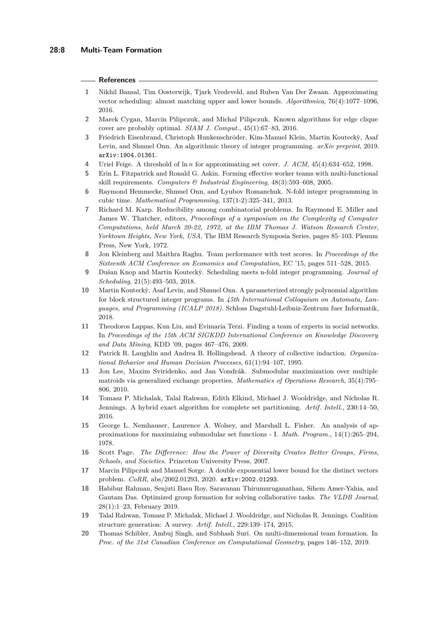#### **References**

- <span id="page-7-18"></span>**1** Nikhil Bansal, Tim Oosterwijk, Tjark Vredeveld, and Ruben Van Der Zwaan. Approximating vector scheduling: almost matching upper and lower bounds. *Algorithmica*, 76(4):1077–1096, 2016.
- <span id="page-7-16"></span>**2** Marek Cygan, Marcin Pilipczuk, and Michal Pilipczuk. Known algorithms for edge clique cover are probably optimal. *SIAM J. Comput.*, 45(1):67–83, 2016.
- <span id="page-7-13"></span>**3** Friedrich Eisenbrand, Christoph Hunkenschröder, Kim-Manuel Klein, Martin Kouteck`y, Asaf Levin, and Shmuel Onn. An algorithmic theory of integer programming. *arXiv preprint*, 2019. [arXiv:1904.01361](http://arxiv.org/abs/1904.01361).
- <span id="page-7-8"></span>**4** Uriel Feige. A threshold of ln *n* for approximating set cover. *J. ACM*, 45(4):634–652, 1998.
- <span id="page-7-3"></span>**5** Erin L. Fitzpatrick and Ronald G. Askin. Forming effective worker teams with multi-functional skill requirements. *Computers & Industrial Engineering*, 48(3):593–608, 2005.
- <span id="page-7-14"></span>**6** Raymond Hemmecke, Shmuel Onn, and Lyubov Romanchuk. N-fold integer programming in cubic time. *Mathematical Programming*, 137(1-2):325–341, 2013.
- <span id="page-7-6"></span>**7** Richard M. Karp. Reducibility among combinatorial problems. In Raymond E. Miller and James W. Thatcher, editors, *Proceedings of a symposium on the Complexity of Computer Computations, held March 20-22, 1972, at the IBM Thomas J. Watson Research Center, Yorktown Heights, New York, USA*, The IBM Research Symposia Series, pages 85–103. Plenum Press, New York, 1972.
- <span id="page-7-12"></span>**8** Jon Kleinberg and Maithra Raghu. Team performance with test scores. In *Proceedings of the Sixteenth ACM Conference on Economics and Computation*, EC '15, pages 511–528, 2015.
- <span id="page-7-15"></span>**9** Dušan Knop and Martin Kouteck`y. Scheduling meets n-fold integer programming. *Journal of Scheduling*, 21(5):493–503, 2018.
- <span id="page-7-0"></span>**10** Martin Kouteck`y, Asaf Levin, and Shmuel Onn. A parameterized strongly polynomial algorithm for block structured integer programs. In *45th International Colloquium on Automata, Languages, and Programming (ICALP 2018)*. Schloss Dagstuhl-Leibniz-Zentrum fuer Informatik, 2018.
- <span id="page-7-5"></span>**11** Theodoros Lappas, Kun Liu, and Evimaria Terzi. Finding a team of experts in social networks. In *Proceedings of the 15th ACM SIGKDD International Conference on Knowledge Discovery and Data Mining*, KDD '09, pages 467–476, 2009.
- <span id="page-7-1"></span>**12** Patrick R. Laughlin and Andrea B. Hollingshead. A theory of collective induction. *Organizational Behavior and Human Decision Processes*, 61(1):94–107, 1995.
- <span id="page-7-19"></span>**13** Jon Lee, Maxim Sviridenko, and Jan Vondrák. Submodular maximization over multiple matroids via generalized exchange properties. *Mathematics of Operations Research*, 35(4):795– 806, 2010.
- <span id="page-7-10"></span>**14** Tomasz P. Michalak, Talal Rahwan, Edith Elkind, Michael J. Wooldridge, and Nicholas R. Jennings. A hybrid exact algorithm for complete set partitioning. *Artif. Intell.*, 230:14–50, 2016.
- <span id="page-7-7"></span>**15** George L. Nemhauser, Laurence A. Wolsey, and Marshall L. Fisher. An analysis of approximations for maximizing submodular set functions - I. *Math. Program.*, 14(1):265–294, 1978.
- <span id="page-7-2"></span>**16** Scott Page. *The Difference: How the Power of Diversity Creates Better Groups, Firms, Schools, and Societies*. Princeton University Press, 2007.
- <span id="page-7-17"></span>**17** Marcin Pilipczuk and Manuel Sorge. A double exponential lower bound for the distinct vectors problem. *CoRR*, abs/2002.01293, 2020. [arXiv:2002.01293](http://arxiv.org/abs/2002.01293).
- <span id="page-7-4"></span>**18** Habibur Rahman, Senjuti Basu Roy, Saravanan Thirumuruganathan, Sihem Amer-Yahia, and Gautam Das. Optimized group formation for solving collaborative tasks. *The VLDB Journal*, 28(1):1–23, February 2019.
- <span id="page-7-9"></span>**19** Talal Rahwan, Tomasz P. Michalak, Michael J. Wooldridge, and Nicholas R. Jennings. Coalition structure generation: A survey. *Artif. Intell.*, 229:139–174, 2015.
- <span id="page-7-11"></span>**20** Thomas Schibler, Ambuj Singh, and Subhash Suri. On multi-dimensional team formation. In *Proc. of the 31st Canadian Conference on Computational Geometry*, pages 146–152, 2019.